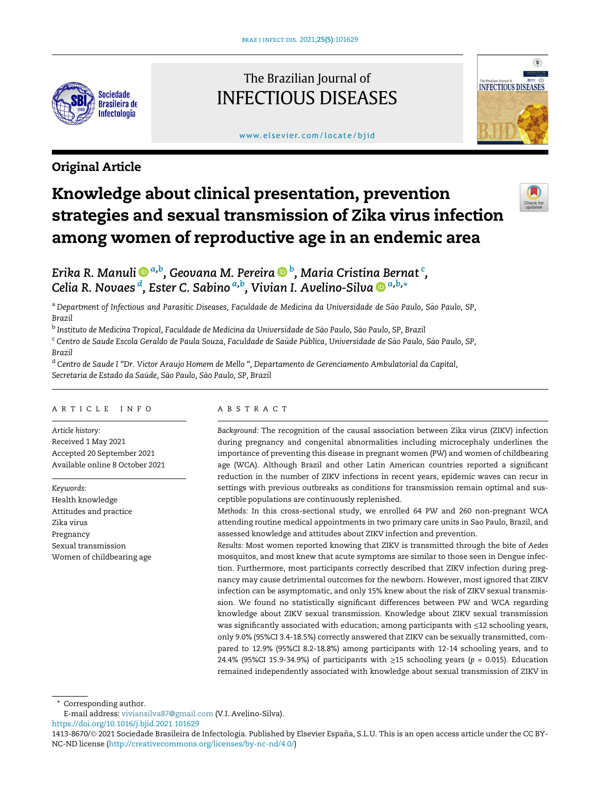

## The Brazilian Journal of INFECTIOUS DISEASES

#### www.elsevier.com/locate/bjid



### Original Article

# Knowledge about clinical presentation, prevention strategies and sexual transmission of Zika virus infection among women of reproductive age in an endemic area



Erika R. Manuli �����[, Geovana M. Pereira](http://orcid.org/0000-0003-0635-0653) ���[, Maria Cristina Bernat](http://orcid.org/0000-0003-0635-0653)  $^{\mathrm{c}}$ [,](http://orcid.org/0000-0003-0635-0653) [Celia R. Novaes](http://orcid.org/0000-0003-0635-0653) <sup>d</sup>[, Ester C. Sabino](http://orcid.org/0000-0003-0635-0653) <sup>[a,b](http://orcid.org/0000-0003-0635-0653)</sup>[, Vivian I. Avelino-Silva](http://orcid.org/0000-0002-6660-3088) D <sup>[a,b,](http://orcid.org/0000-0002-6660-3088)</sup>[\\*](http://orcid.org/0000-0002-6660-3088)

<sup>a</sup> Department of Infectious and Parasitic Diseases, Faculdade de Medicina da Universidade de São Paulo, São Paulo, SP, *Brazil*

<sup>b</sup> Instituto de Medicina Tropical, Faculdade de Medicina da Universidade de São Paulo, São Paulo, SP, Brazil

<sup>c</sup> Centro de Saude Escola Geraldo de Paula Souza, Faculdade de Saúde Pública, Universidade de São Paulo, São Paulo, SP, *Brazil*

<sup>d</sup> *Centro de Saude I* "*Dr. Victor Araujo Homem de Mello* "*, Departamento de Gerenciamento Ambulatorial da Capital, Secretaria de Estado da Saude, S* - *ao Paulo, S* ~ *ao Paulo, SP, Brazil* ~

#### ARTICLE INFO

*Article history:* Received 1 May 2021 Accepted 20 September 2021 Available online 8 October 2021

*Keywords:* Health knowledge Attitudes and practice Zika virus Pregnancy Sexual transmission Women of childbearing age

#### ABSTRACT

*Background:* The recognition of the causal association between Zika virus (ZIKV) infection during pregnancy and congenital abnormalities including microcephaly underlines the importance of preventing this disease in pregnant women (PW) and women of childbearing age (WCA). Although Brazil and other Latin American countries reported a significant reduction in the number of ZIKV infections in recent years, epidemic waves can recur in settings with previous outbreaks as conditions for transmission remain optimal and susceptible populations are continuously replenished.

*Methods:* In this cross-sectional study, we enrolled 64 PW and 260 non-pregnant WCA attending routine medical appointments in two primary care units in Sao Paulo, Brazil, and assessed knowledge and attitudes about ZIKV infection and prevention.

*Results:* Most women reported knowing that ZIKV is transmitted through the bite of *Aedes* mosquitos, and most knew that acute symptoms are similar to those seen in Dengue infection. Furthermore, most participants correctly described that ZIKV infection during pregnancy may cause detrimental outcomes for the newborn. However, most ignored that ZIKV infection can be asymptomatic, and only 15% knew about the risk of ZIKV sexual transmission. We found no statistically significant differences between PW and WCA regarding knowledge about ZIKV sexual transmission. Knowledge about ZIKV sexual transmission was significantly associated with education; among participants with ≤12 schooling years, only 9.0% (95%CI 3.4-18.5%) correctly answered that ZIKV can be sexually transmitted, compared to 12.9% (95%CI 8.2-18.8%) among participants with 12-14 schooling years, and to 24.4% (95%CI 15.9-34.9%) of participants with ≥15 schooling years (*p* = 0.015). Education remained independently associated with knowledge about sexual transmission of ZIKV in

Corresponding author.

E-mail address: [viviansilva87@gmail.com](mailto:viviansilva87@gmail.com) (V.I. Avelino-Silva).

<https://doi.org/10.1016/j.bjid.2021.101629>

<sup>1413-8670/© 2021</sup> Sociedade Brasileira de Infectologia. Published by Elsevier España, S.L.U. This is an open access article under the CC BY-NC-ND license (<http://creativecommons.org/licenses/by-nc-nd/4.0/>)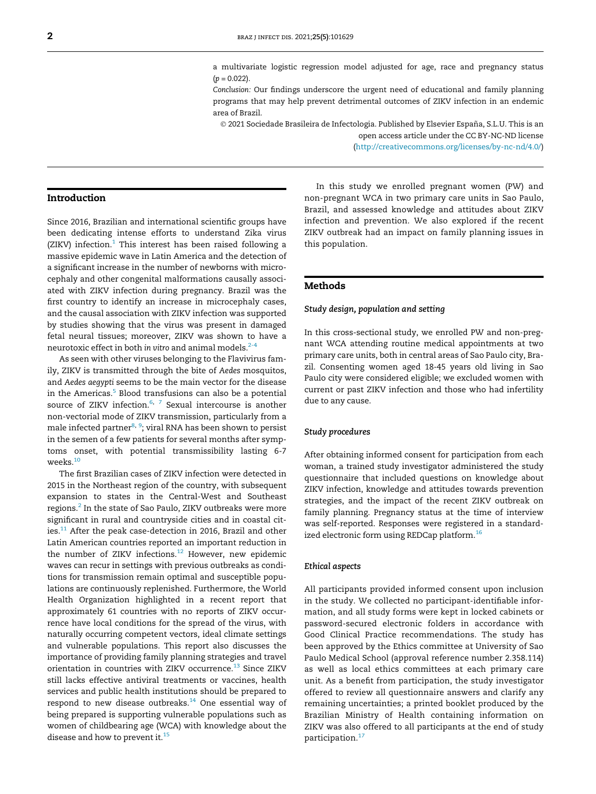a multivariate logistic regression model adjusted for age, race and pregnancy status  $(p = 0.022)$ .

*Conclusion:* Our findings underscore the urgent need of educational and family planning programs that may help prevent detrimental outcomes of ZIKV infection in an endemic area of Brazil.

2021 Sociedade Brasileira de Infectologia. Published by Elsevier España, S.L.U. This is an

open access article under the CC BY-NC-ND license (<http://creativecommons.org/licenses/by-nc-nd/4.0/>)

#### Introduction

Since 2016, Brazilian and international scientific groups have been dedicating intense efforts to understand Zika virus (ZIKV) infection. $1$  This interest has been raised following a massive epidemic wave in Latin America and the detection of a significant increase in the number of newborns with microcephaly and other congenital malformations causally associated with ZIKV infection during pregnancy. Brazil was the first country to identify an increase in microcephaly cases, and the causal association with ZIKV infection was supported by studies showing that the virus was present in damaged fetal neural tissues; moreover, ZIKV was shown to have a neurotoxic effect in both *in vitro* and animal models.<sup>[2-4](#page-5-1)</sup>

As seen with other viruses belonging to the Flavivirus family, ZIKV is transmitted through the bite of *Aedes* mosquitos, and *Aedes aegypti* seems to be the main vector for the disease in the Americas.<sup>[5](#page-5-2)</sup> Blood transfusions can also be a potential source of ZIKV infection. $6, 7$  $6, 7$  $6, 7$  Sexual intercourse is another non-vectorial mode of ZIKV transmission, particularly from a male infected partner<sup>[8,](#page-5-5) [9](#page-5-6)</sup>; viral RNA has been shown to persist in the semen of a few patients for several months after symptoms onset, with potential transmissibility lasting 6-7 weeks.[10](#page-5-7)

The first Brazilian cases of ZIKV infection were detected in 2015 in the Northeast region of the country, with subsequent expansion to states in the Central-West and Southeast regions.<sup>[2](#page-5-1)</sup> In the state of Sao Paulo, ZIKV outbreaks were more significant in rural and countryside cities and in coastal cities. $11$  After the peak case-detection in 2016, Brazil and other Latin American countries reported an important reduction in the number of ZIKV infections. $12$  However, new epidemic waves can recur in settings with previous outbreaks as conditions for transmission remain optimal and susceptible populations are continuously replenished. Furthermore, the World Health Organization highlighted in a recent report that approximately 61 countries with no reports of ZIKV occurrence have local conditions for the spread of the virus, with naturally occurring competent vectors, ideal climate settings and vulnerable populations. This report also discusses the importance of providing family planning strategies and travel orientation in countries with ZIKV occurrence.<sup>[13](#page-5-10)</sup> Since ZIKV still lacks effective antiviral treatments or vaccines, health services and public health institutions should be prepared to respond to new disease outbreaks. $14$  One essential way of being prepared is supporting vulnerable populations such as women of childbearing age (WCA) with knowledge about the disease and how to prevent it.<sup>[15](#page-5-12)</sup>

In this study we enrolled pregnant women (PW) and non-pregnant WCA in two primary care units in Sao Paulo, Brazil, and assessed knowledge and attitudes about ZIKV infection and prevention. We also explored if the recent ZIKV outbreak had an impact on family planning issues in this population.

#### Methods

#### Study design, population and setting

In this cross-sectional study, we enrolled PW and non-pregnant WCA attending routine medical appointments at two primary care units, both in central areas of Sao Paulo city, Brazil. Consenting women aged 18-45 years old living in Sao Paulo city were considered eligible; we excluded women with current or past ZIKV infection and those who had infertility due to any cause.

#### Study procedures

After obtaining informed consent for participation from each woman, a trained study investigator administered the study questionnaire that included questions on knowledge about ZIKV infection, knowledge and attitudes towards prevention strategies, and the impact of the recent ZIKV outbreak on family planning. Pregnancy status at the time of interview was self-reported. Responses were registered in a standard-ized electronic form using REDCap platform.<sup>[16](#page-5-13)</sup>

#### Ethical aspects

All participants provided informed consent upon inclusion in the study. We collected no participant-identifiable information, and all study forms were kept in locked cabinets or password-secured electronic folders in accordance with Good Clinical Practice recommendations. The study has been approved by the Ethics committee at University of Sao Paulo Medical School (approval reference number 2.358.114) as well as local ethics committees at each primary care unit. As a benefit from participation, the study investigator offered to review all questionnaire answers and clarify any remaining uncertainties; a printed booklet produced by the Brazilian Ministry of Health containing information on ZIKV was also offered to all participants at the end of study participation.<sup>[17](#page-5-14)</sup>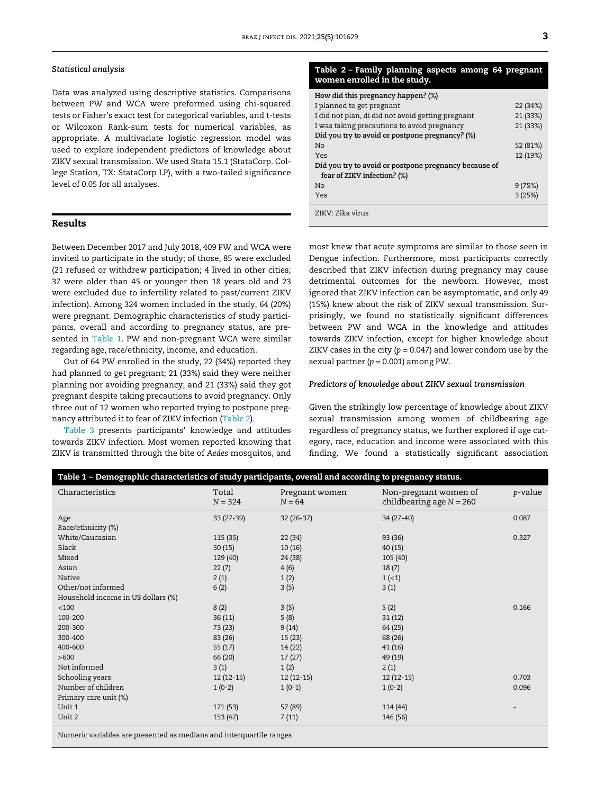#### <span id="page-2-1"></span>Statistical analysis

Data was analyzed using descriptive statistics. Comparisons between PW and WCA were preformed using chi-squared tests or Fisher's exact test for categorical variables, and t-tests or Wilcoxon Rank-sum tests for numerical variables, as appropriate. A multivariate logistic regression model was used to explore independent predictors of knowledge about ZIKV sexual transmission. We used Stata 15.1 (StataCorp. College Station, TX: StataCorp LP), with a two-tailed significance level of 0.05 for all analyses.

#### Results

Between December 2017 and July 2018, 409 PW and WCA were invited to participate in the study; of those, 85 were excluded (21 refused or withdrew participation; 4 lived in other cities; 37 were older than 45 or younger then 18 years old and 23 were excluded due to infertility related to past/current ZIKV infection). Among 324 women included in the study, 64 (20%) were pregnant. Demographic characteristics of study participants, overall and according to pregnancy status, are presented in [Table 1](#page-2-0). PW and non-pregnant WCA were similar regarding age, race/ethnicity, income, and education.

Out of 64 PW enrolled in the study, 22 (34%) reported they had planned to get pregnant; 21 (33%) said they were neither planning nor avoiding pregnancy; and 21 (33%) said they got pregnant despite taking precautions to avoid pregnancy. Only three out of 12 women who reported trying to postpone pregnancy attributed it to fear of ZIKV infection [\(Table 2](#page-2-1)).

[Table 3](#page-3-0) presents participants' knowledge and attitudes towards ZIKV infection. Most women reported knowing that ZIKV is transmitted through the bite of *Aedes* mosquitos, and

#### Table 2 – Family planning aspects among 64 pregnant women enrolled in the study.

| How did this pregnancy happen? (%)                    |          |
|-------------------------------------------------------|----------|
| I planned to get pregnant                             | 22 (34%) |
| I did not plan, di did not avoid getting pregnant     | 21 (33%) |
| I was taking precautions to avoid pregnancy           | 21 (33%) |
| Did you try to avoid or postpone pregnancy? (%)       |          |
| No                                                    | 52 (81%) |
| Yes                                                   | 12 (19%) |
| Did you try to avoid or postpone pregnancy because of |          |
| fear of ZIKV infection? (%)                           |          |
| No                                                    | 9(75%)   |
| Yes                                                   | 3(25%)   |
| ZIKV: Zika virus                                      |          |

most knew that acute symptoms are similar to those seen in Dengue infection. Furthermore, most participants correctly described that ZIKV infection during pregnancy may cause detrimental outcomes for the newborn. However, most ignored that ZIKV infection can be asymptomatic, and only 49 (15%) knew about the risk of ZIKV sexual transmission. Surprisingly, we found no statistically significant differences between PW and WCA in the knowledge and attitudes towards ZIKV infection, except for higher knowledge about ZIKV cases in the city ( $p = 0.047$ ) and lower condom use by the sexual partner  $(p = 0.001)$  among PW.

#### Predictors of knowledge about ZIKV sexual transmission

Given the strikingly low percentage of knowledge about ZIKV sexual transmission among women of childbearing age regardless of pregnancy status, we further explored if age category, race, education and income were associated with this finding. We found a statistically significant association

<span id="page-2-0"></span>

| Characteristics                                                     | Total<br>$N = 324$ | Pregnant women<br>$N = 64$ | Non-pregnant women of<br>childbearing age $N = 260$ | <i>p</i> -value |
|---------------------------------------------------------------------|--------------------|----------------------------|-----------------------------------------------------|-----------------|
| Age                                                                 | 33 (27-39)         | 32 (26-37)                 | 34 (27-40)                                          | 0.087           |
| Race/ethnicity (%)                                                  |                    |                            |                                                     |                 |
| White/Caucasian                                                     | 115 (35)           | 22(34)                     | 93(36)                                              | 0.327           |
| Black                                                               | 50(15)             | 10(16)                     | 40(15)                                              |                 |
| Mixed                                                               | 129 (40)           | 24 (38)                    | 105 (40)                                            |                 |
| Asian                                                               | 22(7)              | 4(6)                       | 18(7)                                               |                 |
| Native                                                              | 2(1)               | 1(2)                       | $1(-1)$                                             |                 |
| Other/not informed                                                  | 6(2)               | 3(5)                       | 3(1)                                                |                 |
| Household income in US dollars (%)                                  |                    |                            |                                                     |                 |
| $<$ 100                                                             | 8(2)               | 3(5)                       | 5(2)                                                | 0.166           |
| 100-200                                                             | 36(11)             | 5(8)                       | 31(12)                                              |                 |
| 200-300                                                             | 73 (23)            | 9(14)                      | 64 (25)                                             |                 |
| 300-400                                                             | 83 (26)            | 15(23)                     | 68 (26)                                             |                 |
| 400-600                                                             | 55(17)             | 14(22)                     | 41(16)                                              |                 |
| >600                                                                | 66 (20)            | 17(27)                     | 49 (19)                                             |                 |
| Not informed                                                        | 3(1)               | 1(2)                       | 2(1)                                                |                 |
| Schooling years                                                     | $12(12-15)$        | $12(12-15)$                | $12(12-15)$                                         | 0.703           |
| Number of children                                                  | $1(0-2)$           | $1(0-1)$                   | $1(0-2)$                                            | 0.096           |
| Primary care unit (%)                                               |                    |                            |                                                     |                 |
| Unit 1                                                              | 171 (53)           | 57 (89)                    | 114 (44)                                            |                 |
| Unit 2                                                              | 153 (47)           | 7(11)                      | 146 (56)                                            |                 |
| Numeric variables are presented as medians and interquartile ranges |                    |                            |                                                     |                 |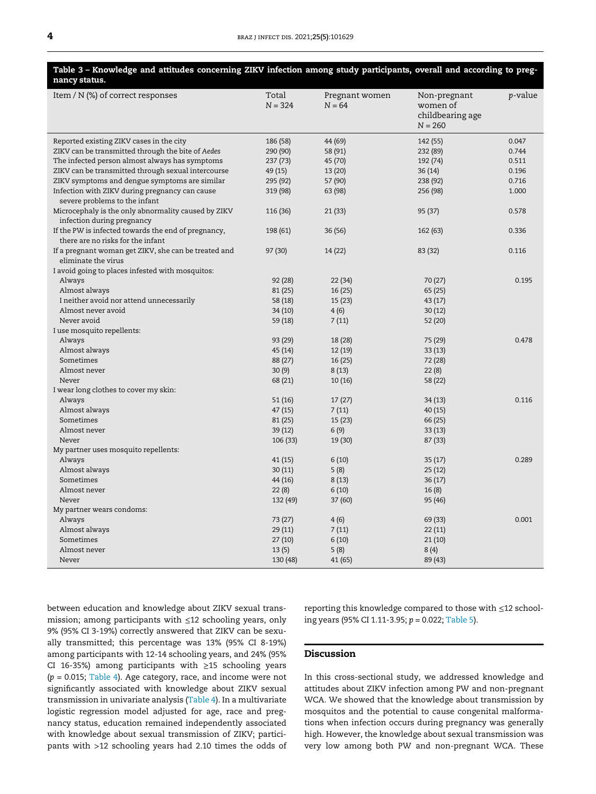<span id="page-3-0"></span>

| Table 3 - Knowledge and attitudes concerning ZIKV infection among study participants, overall and according to preg-<br>nancy status. |                    |                            |                                                           |                 |
|---------------------------------------------------------------------------------------------------------------------------------------|--------------------|----------------------------|-----------------------------------------------------------|-----------------|
| Item $/N$ (%) of correct responses                                                                                                    | Total<br>$N = 324$ | Pregnant women<br>$N = 64$ | Non-pregnant<br>women of<br>childbearing age<br>$N = 260$ | <i>p</i> -value |
| Reported existing ZIKV cases in the city                                                                                              | 186 (58)           | 44 (69)                    | 142 (55)                                                  | 0.047           |
| ZIKV can be transmitted through the bite of Aedes                                                                                     | 290 (90)           | 58 (91)                    | 232 (89)                                                  | 0.744           |
| The infected person almost always has symptoms                                                                                        | 237 (73)           | 45 (70)                    | 192 (74)                                                  | 0.511           |
| ZIKV can be transmitted through sexual intercourse                                                                                    | 49 (15)            | 13 (20)                    | 36 (14)                                                   | 0.196           |
| ZIKV symptoms and dengue symptoms are similar                                                                                         | 295 (92)           | 57 (90)                    | 238 (92)                                                  | 0.716           |
| Infection with ZIKV during pregnancy can cause<br>severe problems to the infant                                                       | 319 (98)           | 63 (98)                    | 256 (98)                                                  | 1.000           |
| Microcephaly is the only abnormality caused by ZIKV<br>infection during pregnancy                                                     | 116 (36)           | 21 (33)                    | 95 (37)                                                   | 0.578           |
| If the PW is infected towards the end of pregnancy,<br>there are no risks for the infant                                              | 198 (61)           | 36 (56)                    | 162 (63)                                                  | 0.336           |
| If a pregnant woman get ZIKV, she can be treated and<br>eliminate the virus                                                           | 97 (30)            | 14 (22)                    | 83 (32)                                                   | 0.116           |
| I avoid going to places infested with mosquitos:                                                                                      |                    |                            |                                                           |                 |
| Always                                                                                                                                | 92 (28)            | 22 (34)                    | 70 (27)                                                   | 0.195           |
| Almost always                                                                                                                         | 81 (25)            | 16 (25)                    | 65 (25)                                                   |                 |
| I neither avoid nor attend unnecessarily                                                                                              | 58 (18)            | 15 (23)                    | 43 (17)                                                   |                 |
| Almost never avoid                                                                                                                    | 34 (10)            | 4(6)                       | 30(12)                                                    |                 |
| Never avoid                                                                                                                           | 59 (18)            | 7(11)                      | 52 (20)                                                   |                 |
| I use mosquito repellents:                                                                                                            |                    |                            |                                                           |                 |
| Always                                                                                                                                | 93 (29)            | 18 (28)                    | 75 (29)                                                   | 0.478           |
| Almost always                                                                                                                         | 45 (14)            | 12 (19)                    | 33 (13)                                                   |                 |
| Sometimes                                                                                                                             | 88 (27)            | 16 (25)                    | 72 (28)                                                   |                 |
| Almost never                                                                                                                          | 30(9)              | 8(13)                      | 22(8)                                                     |                 |
| Never                                                                                                                                 | 68 (21)            | 10(16)                     | 58 (22)                                                   |                 |
| I wear long clothes to cover my skin:                                                                                                 |                    |                            |                                                           |                 |
| Always                                                                                                                                | 51(16)             | 17(27)                     | 34(13)                                                    | 0.116           |
| Almost always<br>Sometimes                                                                                                            | 47 (15)            | 7(11)                      | 40 (15)                                                   |                 |
| Almost never                                                                                                                          | 81 (25)            | 15 (23)                    | 66 (25)                                                   |                 |
| Never                                                                                                                                 | 39 (12)            | 6(9)                       | 33 (13)                                                   |                 |
|                                                                                                                                       | 106 (33)           | 19 (30)                    | 87 (33)                                                   |                 |
| My partner uses mosquito repellents:<br>Always                                                                                        | 41 (15)            | 6(10)                      | 35(17)                                                    | 0.289           |
| Almost always                                                                                                                         | 30(11)             | 5(8)                       | 25(12)                                                    |                 |
| Sometimes                                                                                                                             | 44 (16)            | 8(13)                      | 36(17)                                                    |                 |
| Almost never                                                                                                                          | 22(8)              | 6(10)                      | 16(8)                                                     |                 |
| Never                                                                                                                                 | 132 (49)           | 37 (60)                    | 95 (46)                                                   |                 |
| My partner wears condoms:                                                                                                             |                    |                            |                                                           |                 |
| Always                                                                                                                                | 73 (27)            | 4(6)                       | 69 (33)                                                   | 0.001           |
| Almost always                                                                                                                         | 29 (11)            | 7(11)                      | 22 (11)                                                   |                 |
| Sometimes                                                                                                                             | 27 (10)            | 6(10)                      | 21(10)                                                    |                 |
| Almost never                                                                                                                          | 13(5)              | 5(8)                       | 8(4)                                                      |                 |
| Never                                                                                                                                 | 130 (48)           | 41 (65)                    | 89 (43)                                                   |                 |
|                                                                                                                                       |                    |                            |                                                           |                 |

between education and knowledge about ZIKV sexual transmission; among participants with ≤12 schooling years, only 9% (95% CI 3-19%) correctly answered that ZIKV can be sexually transmitted; this percentage was 13% (95% CI 8-19%) among participants with 12-14 schooling years, and 24% (95% CI 16-35%) among participants with ≥15 schooling years (*p* = 0.015; [Table 4\)](#page-4-0). Age category, race, and income were not significantly associated with knowledge about ZIKV sexual transmission in univariate analysis ([Table 4\)](#page-4-0). In a multivariate logistic regression model adjusted for age, race and pregnancy status, education remained independently associated with knowledge about sexual transmission of ZIKV; participants with >12 schooling years had 2.10 times the odds of reporting this knowledge compared to those with ≤12 schooling years (95% CI 1.11-3.95; *p* = 0.022; [Table 5](#page-4-1)).

#### Discussion

In this cross-sectional study, we addressed knowledge and attitudes about ZIKV infection among PW and non-pregnant WCA. We showed that the knowledge about transmission by mosquitos and the potential to cause congenital malformations when infection occurs during pregnancy was generally high. However, the knowledge about sexual transmission was very low among both PW and non-pregnant WCA. These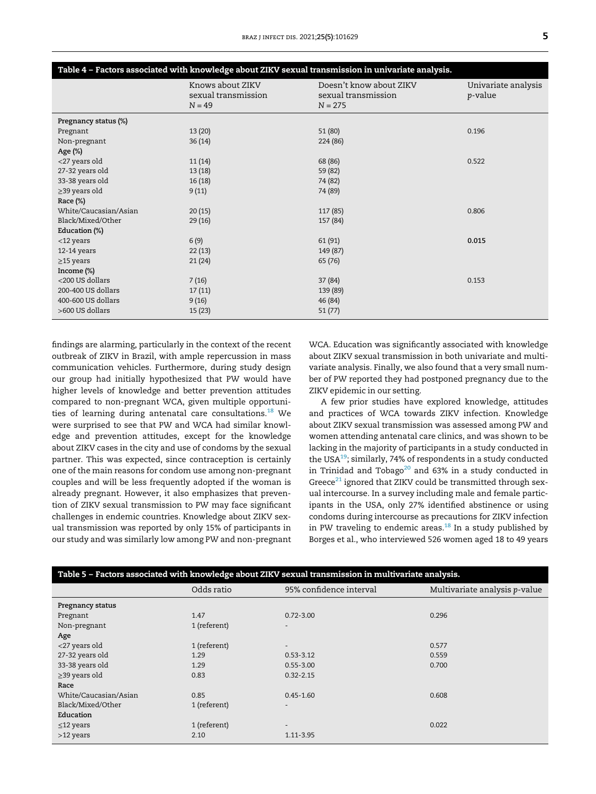<span id="page-4-0"></span>

| Table 4 - Factors associated with knowledge about ZIKV sexual transmission in univariate analysis. |                                                     |                                                             |                                        |
|----------------------------------------------------------------------------------------------------|-----------------------------------------------------|-------------------------------------------------------------|----------------------------------------|
|                                                                                                    | Knows about ZIKV<br>sexual transmission<br>$N = 49$ | Doesn't know about ZIKV<br>sexual transmission<br>$N = 275$ | Univariate analysis<br><i>p</i> -value |
| Pregnancy status (%)                                                                               |                                                     |                                                             |                                        |
| Pregnant                                                                                           | 13(20)                                              | 51 (80)                                                     | 0.196                                  |
| Non-pregnant                                                                                       | 36(14)                                              | 224 (86)                                                    |                                        |
| Age (%)                                                                                            |                                                     |                                                             |                                        |
| <27 years old                                                                                      | 11(14)                                              | 68 (86)                                                     | 0.522                                  |
| 27-32 years old                                                                                    | 13(18)                                              | 59 (82)                                                     |                                        |
| 33-38 years old                                                                                    | 16(18)                                              | 74 (82)                                                     |                                        |
| $\geq$ 39 years old                                                                                | 9(11)                                               | 74 (89)                                                     |                                        |
| Race (%)                                                                                           |                                                     |                                                             |                                        |
| White/Caucasian/Asian                                                                              | 20(15)                                              | 117 (85)                                                    | 0.806                                  |
| Black/Mixed/Other                                                                                  | 29(16)                                              | 157 (84)                                                    |                                        |
| Education (%)                                                                                      |                                                     |                                                             |                                        |
| $<$ 12 years                                                                                       | 6(9)                                                | 61 (91)                                                     | 0.015                                  |
| $12-14$ years                                                                                      | 22(13)                                              | 149 (87)                                                    |                                        |
| $\geq$ 15 years                                                                                    | 21(24)                                              | 65 (76)                                                     |                                        |
| Income (%)                                                                                         |                                                     |                                                             |                                        |
| <200 US dollars                                                                                    | 7(16)                                               | 37 (84)                                                     | 0.153                                  |
| 200-400 US dollars                                                                                 | 17(11)                                              | 139 (89)                                                    |                                        |
| 400-600 US dollars                                                                                 | 9(16)                                               | 46 (84)                                                     |                                        |
| >600 US dollars                                                                                    | 15(23)                                              | 51(77)                                                      |                                        |

findings are alarming, particularly in the context of the recent outbreak of ZIKV in Brazil, with ample repercussion in mass communication vehicles. Furthermore, during study design our group had initially hypothesized that PW would have higher levels of knowledge and better prevention attitudes compared to non-pregnant WCA, given multiple opportunities of learning during antenatal care consultations. $^{18}$  $^{18}$  $^{18}$  We were surprised to see that PW and WCA had similar knowledge and prevention attitudes, except for the knowledge about ZIKV cases in the city and use of condoms by the sexual partner. This was expected, since contraception is certainly one of the main reasons for condom use among non-pregnant couples and will be less frequently adopted if the woman is already pregnant. However, it also emphasizes that prevention of ZIKV sexual transmission to PW may face significant challenges in endemic countries. Knowledge about ZIKV sexual transmission was reported by only 15% of participants in our study and was similarly low among PW and non-pregnant WCA. Education was significantly associated with knowledge about ZIKV sexual transmission in both univariate and multivariate analysis. Finally, we also found that a very small number of PW reported they had postponed pregnancy due to the ZIKV epidemic in our setting.

A few prior studies have explored knowledge, attitudes and practices of WCA towards ZIKV infection. Knowledge about ZIKV sexual transmission was assessed among PW and women attending antenatal care clinics, and was shown to be lacking in the majority of participants in a study conducted in the USA $^{19}$  $^{19}$  $^{19}$ ; similarly, 74% of respondents in a study conducted in Trinidad and Tobago<sup>[20](#page-5-17)</sup> and 63% in a study conducted in Greece $^{21}$  $^{21}$  $^{21}$  ignored that ZIKV could be transmitted through sexual intercourse. In a survey including male and female participants in the USA, only 27% identified abstinence or using condoms during intercourse as precautions for ZIKV infection in PW traveling to endemic areas. $^{18}$  $^{18}$  $^{18}$  In a study published by Borges et al., who interviewed 526 women aged 18 to 49 years

<span id="page-4-1"></span>

| Table 5 - Factors associated with knowledge about ZIKV sexual transmission in multivariate analysis. |                          |                               |  |
|------------------------------------------------------------------------------------------------------|--------------------------|-------------------------------|--|
| Odds ratio                                                                                           | 95% confidence interval  | Multivariate analysis p-value |  |
|                                                                                                      |                          |                               |  |
| 1.47                                                                                                 | $0.72 - 3.00$            | 0.296                         |  |
| 1 (referent)                                                                                         | $\overline{\phantom{a}}$ |                               |  |
|                                                                                                      |                          |                               |  |
| 1 (referent)                                                                                         | $\overline{\phantom{a}}$ | 0.577                         |  |
| 1.29                                                                                                 | $0.53 - 3.12$            | 0.559                         |  |
| 1.29                                                                                                 | $0.55 - 3.00$            | 0.700                         |  |
| 0.83                                                                                                 | $0.32 - 2.15$            |                               |  |
|                                                                                                      |                          |                               |  |
| 0.85                                                                                                 | $0.45 - 1.60$            | 0.608                         |  |
| 1 (referent)                                                                                         |                          |                               |  |
|                                                                                                      |                          |                               |  |
| 1 (referent)                                                                                         | $\overline{\phantom{a}}$ | 0.022                         |  |
| 2.10                                                                                                 | 1.11-3.95                |                               |  |
|                                                                                                      |                          |                               |  |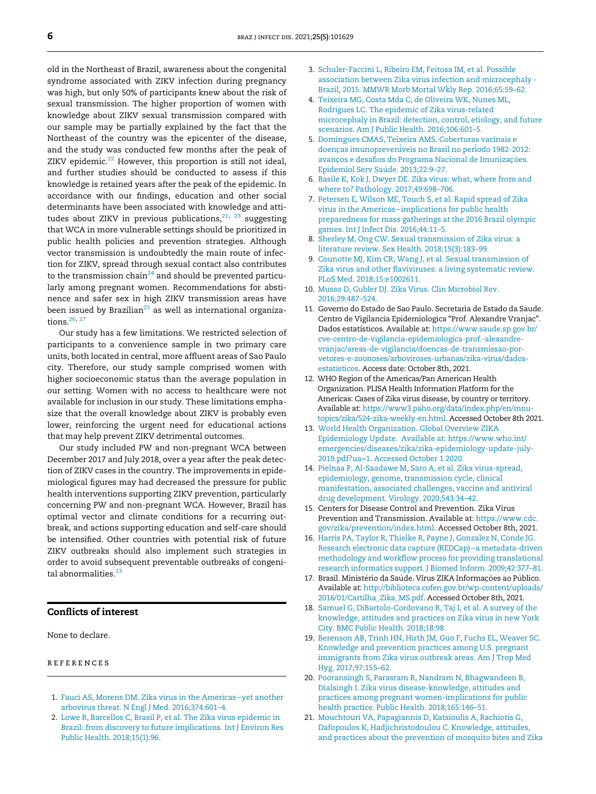<span id="page-5-4"></span><span id="page-5-3"></span><span id="page-5-2"></span>old in the Northeast of Brazil, awareness about the congenital syndrome associated with ZIKV infection during pregnancy was high, but only 50% of participants knew about the risk of sexual transmission. The higher proportion of women with knowledge about ZIKV sexual transmission compared with our sample may be partially explained by the fact that the Northeast of the country was the epicenter of the disease, and the study was conducted few months after the peak of ZIKV epidemic. $22$  However, this proportion is still not ideal, and further studies should be conducted to assess if this knowledge is retained years after the peak of the epidemic. In accordance with our findings, education and other social determinants have been associated with knowledge and attitudes about ZIKV in previous publications, $21, 23$  $21, 23$  $21, 23$  suggesting that WCA in more vulnerable settings should be prioritized in public health policies and prevention strategies. Although vector transmission is undoubtedly the main route of infection for ZIKV, spread through sexual contact also contributes to the transmission chain<sup>[24](#page-6-2)</sup> and should be prevented particularly among pregnant women. Recommendations for abstinence and safer sex in high ZIKV transmission areas have been issued by Brazilian<sup>[25](#page-6-3)</sup> as well as international organiza-tions.<sup>[26,](#page-6-4) [27](#page-6-5)</sup>

<span id="page-5-9"></span><span id="page-5-8"></span><span id="page-5-7"></span><span id="page-5-6"></span><span id="page-5-5"></span>Our study has a few limitations. We restricted selection of participants to a convenience sample in two primary care units, both located in central, more affluent areas of Sao Paulo city. Therefore, our study sample comprised women with higher socioeconomic status than the average population in our setting. Women with no access to healthcare were not available for inclusion in our study. These limitations emphasize that the overall knowledge about ZIKV is probably even lower, reinforcing the urgent need for educational actions that may help prevent ZIKV detrimental outcomes.

<span id="page-5-12"></span><span id="page-5-11"></span><span id="page-5-10"></span>Our study included PW and non-pregnant WCA between December 2017 and July 2018, over a year after the peak detection of ZIKV cases in the country. The improvements in epidemiological figures may had decreased the pressure for public health interventions supporting ZIKV prevention, particularly concerning PW and non-pregnant WCA. However, Brazil has optimal vector and climate conditions for a recurring outbreak, and actions supporting education and self-care should be intensified. Other countries with potential risk of future ZIKV outbreaks should also implement such strategies in order to avoid subsequent preventable outbreaks of congeni-tal abnormalities.<sup>[13](#page-5-10)</sup>

#### <span id="page-5-15"></span><span id="page-5-14"></span><span id="page-5-13"></span>Conflicts of interest

<span id="page-5-16"></span>None to declare.

#### <span id="page-5-17"></span>references

- <span id="page-5-0"></span>1. [Fauci AS, Morens DM. Zika virus in the Americas](http://refhub.elsevier.com/S1413-8670(21)00098-2/sbref0001)−yet another [arbovirus threat. N Engl J Med. 2016;374:601](http://refhub.elsevier.com/S1413-8670(21)00098-2/sbref0001)–4.
- <span id="page-5-18"></span><span id="page-5-1"></span>2. [Lowe R, Barcellos C, Brasil P, et al. The Zika virus epidemic in](http://refhub.elsevier.com/S1413-8670(21)00098-2/sbref0002) [Brazil: from discovery to future implications. Int J Environ Res](http://refhub.elsevier.com/S1413-8670(21)00098-2/sbref0002) [Public Health. 2018;15\(1\):96.](http://refhub.elsevier.com/S1413-8670(21)00098-2/sbref0002)
- 3. [Schuler-Faccini L, Ribeiro EM, Feitosa IM, et al. Possible](http://refhub.elsevier.com/S1413-8670(21)00098-2/sbref0003) [association between Zika virus infection and microcephaly -](http://refhub.elsevier.com/S1413-8670(21)00098-2/sbref0003) [Brazil, 2015. MMWR Morb Mortal Wkly Rep. 2016;65:59](http://refhub.elsevier.com/S1413-8670(21)00098-2/sbref0003)–62.
- 4. [Teixeira MG, Costa Mda C, de Oliveira WK, Nunes ML,](http://refhub.elsevier.com/S1413-8670(21)00098-2/sbref0004) [Rodrigues LC. The epidemic of Zika virus-related](http://refhub.elsevier.com/S1413-8670(21)00098-2/sbref0004) [microcephaly in Brazil: detection, control, etiology, and future](http://refhub.elsevier.com/S1413-8670(21)00098-2/sbref0004) [scenarios. Am J Public Health. 2016;106:601](http://refhub.elsevier.com/S1413-8670(21)00098-2/sbref0004)–5.
- 5. [Domingues CMAS, Teixeira AMS. Coberturas vacinais e](http://refhub.elsevier.com/S1413-8670(21)00098-2/sbref0005) [doen](http://refhub.elsevier.com/S1413-8670(21)00098-2/sbref0005)ças imunopreveni[veis no Brasil no peri](http://refhub.elsevier.com/S1413-8670(21)00098-2/sbref0005)odo 1982-2012: avanços e desafios do Programa Nacional de Imunizações. Epidemiol Serv Saúde. 2013;22:9-27.
- 6. [Basile K, Kok J, Dwyer DE. Zika virus: what, where from and](http://refhub.elsevier.com/S1413-8670(21)00098-2/sbref0006) [where to? Pathology. 2017;49:698](http://refhub.elsevier.com/S1413-8670(21)00098-2/sbref0006)–706.
- 7. [Petersen E, Wilson ME, Touch S, et al. Rapid spread of Zika](http://refhub.elsevier.com/S1413-8670(21)00098-2/sbref0007) virus in the Americas−[implications for public health](http://refhub.elsevier.com/S1413-8670(21)00098-2/sbref0007) [preparedness for mass gatherings at the 2016 Brazil olympic](http://refhub.elsevier.com/S1413-8670(21)00098-2/sbref0007) [games. Int J Infect Dis. 2016;44:11](http://refhub.elsevier.com/S1413-8670(21)00098-2/sbref0007)–5.
- 8. [Sherley M, Ong CW. Sexual transmission of Zika virus: a](http://refhub.elsevier.com/S1413-8670(21)00098-2/sbref0008) [literature review. Sex Health. 2018;15\(3\):183](http://refhub.elsevier.com/S1413-8670(21)00098-2/sbref0008)–99.
- 9. [Counotte MJ, Kim CR, Wang J, et al. Sexual transmission of](http://refhub.elsevier.com/S1413-8670(21)00098-2/sbref0009) Zika virus and other fl[aviviruses: a living systematic review.](http://refhub.elsevier.com/S1413-8670(21)00098-2/sbref0009) [PLoS Med. 2018;15:e1002611.](http://refhub.elsevier.com/S1413-8670(21)00098-2/sbref0009)
- 10. [Musso D, Gubler DJ. Zika Virus. Clin Microbiol Rev.](http://refhub.elsevier.com/S1413-8670(21)00098-2/sbref0010) [2016;29:487](http://refhub.elsevier.com/S1413-8670(21)00098-2/sbref0010)–524.
- 11. Governo do Estado de Sao Paulo. Secretaria de Estado da Saude. Centro de Vigilancia Epidemiologica "Prof. Alexandre Vranjac". Dados estatísticos. Available at: [https://www.saude.sp.gov.br/](https://www.saude.sp.gov.br/cve-centro-de-vigilancia-epidemiologica-prof.-alexandre-vranjac/areas-de-vigilancia/doencas-de-transmissao-por-vetores-e-zoonoses/arboviroses-urbanas/zika-virus/dados-estatisticos) [cve-centro-de-vigilancia-epidemiologica-prof.-alexandre](https://www.saude.sp.gov.br/cve-centro-de-vigilancia-epidemiologica-prof.-alexandre-vranjac/areas-de-vigilancia/doencas-de-transmissao-por-vetores-e-zoonoses/arboviroses-urbanas/zika-virus/dados-estatisticos)[vranjac/areas-de-vigilancia/doencas-de-transmissao-por](https://www.saude.sp.gov.br/cve-centro-de-vigilancia-epidemiologica-prof.-alexandre-vranjac/areas-de-vigilancia/doencas-de-transmissao-por-vetores-e-zoonoses/arboviroses-urbanas/zika-virus/dados-estatisticos)[vetores-e-zoonoses/arboviroses-urbanas/zika-virus/dados](https://www.saude.sp.gov.br/cve-centro-de-vigilancia-epidemiologica-prof.-alexandre-vranjac/areas-de-vigilancia/doencas-de-transmissao-por-vetores-e-zoonoses/arboviroses-urbanas/zika-virus/dados-estatisticos)[estatisticos](https://www.saude.sp.gov.br/cve-centro-de-vigilancia-epidemiologica-prof.-alexandre-vranjac/areas-de-vigilancia/doencas-de-transmissao-por-vetores-e-zoonoses/arboviroses-urbanas/zika-virus/dados-estatisticos). Access date: October 8th, 2021.
- 12. WHO Region of the Americas/Pan American Health Organization. PLISA Health Information Platform for the Americas: Cases of Zika virus disease, by country or territory. Available at: [https://www3.paho.org/data/index.php/en/mnu](https://www3.paho.org/data/index.php/en/mnu-topics/zika/524-zika-weekly-en.html)[topics/zika/524-zika-weekly-en.html.](https://www3.paho.org/data/index.php/en/mnu-topics/zika/524-zika-weekly-en.html) Accessed October 8th 2021.
- 13. [World Health Organization. Global Overview ZIKA](http://refhub.elsevier.com/S1413-8670(21)00098-2/sbref0013) [Epidemiology Update. Available at: https://www.who.int/](http://refhub.elsevier.com/S1413-8670(21)00098-2/sbref0013) [emergencies/diseases/zika/zika-epidemiology-update-july-](http://refhub.elsevier.com/S1413-8670(21)00098-2/sbref0013)[2019.pdf?ua=1. Accessed October 1 2020.](http://refhub.elsevier.com/S1413-8670(21)00098-2/sbref0013)
- 14. [Pielnaa P, Al-Saadawe M, Saro A, et al. Zika virus-spread,](http://refhub.elsevier.com/S1413-8670(21)00098-2/sbref0014) [epidemiology, genome, transmission cycle, clinical](http://refhub.elsevier.com/S1413-8670(21)00098-2/sbref0014) [manifestation, associated challenges, vaccine and antiviral](http://refhub.elsevier.com/S1413-8670(21)00098-2/sbref0014) [drug development. Virology. 2020;543:34](http://refhub.elsevier.com/S1413-8670(21)00098-2/sbref0014)–42.
- 15. Centers for Disease Control and Prevention. Zika Virus Prevention and Transmission. Available at: [https://www.cdc.](https://www.cdc.gov/zika/prevention/index.html) [gov/zika/prevention/index.html](https://www.cdc.gov/zika/prevention/index.html). Accessed October 8th, 2021.
- 16. [Harris PA, Taylor R, Thielke R, Payne J, Gonzalez N, Conde JG.](http://refhub.elsevier.com/S1413-8670(21)00098-2/sbref0016) [Research electronic data capture \(REDCap\)](http://refhub.elsevier.com/S1413-8670(21)00098-2/sbref0016)−a metadata-driven methodology and workfl[ow process for providing translational](http://refhub.elsevier.com/S1413-8670(21)00098-2/sbref0016) [research informatics support. J Biomed Inform. 2009;42:377](http://refhub.elsevier.com/S1413-8670(21)00098-2/sbref0016)–81.
- 17. Brasil. Ministério da Saúde. Vírus ZIKA Informações ao Público. Available at: [http://biblioteca.cofen.gov.br/wp-content/uploads/](http://biblioteca.cofen.gov.br/wp-content/uploads/2016/01/Cartilha_Zika_MS.pdf) [2016/01/Cartilha\\_Zika\\_MS.pdf](http://biblioteca.cofen.gov.br/wp-content/uploads/2016/01/Cartilha_Zika_MS.pdf). Accessed October 8th, 2021.
- 18. [Samuel G, DiBartolo-Cordovano R, Taj I, et al. A survey of the](http://refhub.elsevier.com/S1413-8670(21)00098-2/sbref0018) [knowledge, attitudes and practices on Zika virus in new York](http://refhub.elsevier.com/S1413-8670(21)00098-2/sbref0018) [City. BMC Public Health. 2018;18:98.](http://refhub.elsevier.com/S1413-8670(21)00098-2/sbref0018)
- 19. [Berenson AB, Trinh HN, Hirth JM, Guo F, Fuchs EL, Weaver SC.](http://refhub.elsevier.com/S1413-8670(21)00098-2/sbref0019) [Knowledge and prevention practices among U.S. pregnant](http://refhub.elsevier.com/S1413-8670(21)00098-2/sbref0019) [immigrants from Zika virus outbreak areas. Am J Trop Med](http://refhub.elsevier.com/S1413-8670(21)00098-2/sbref0019) [Hyg. 2017;97:155](http://refhub.elsevier.com/S1413-8670(21)00098-2/sbref0019)–62.
- 20. [Pooransingh S, Parasram R, Nandram N, Bhagwandeen B,](http://refhub.elsevier.com/S1413-8670(21)00098-2/sbref0020) [Dialsingh I. Zika virus disease-knowledge, attitudes and](http://refhub.elsevier.com/S1413-8670(21)00098-2/sbref0020) [practices among pregnant women-implications for public](http://refhub.elsevier.com/S1413-8670(21)00098-2/sbref0020) [health practice. Public Health. 2018;165:146](http://refhub.elsevier.com/S1413-8670(21)00098-2/sbref0020)–51.
- 21. [Mouchtouri VA, Papagiannis D, Katsioulis A, Rachiotis G,](http://refhub.elsevier.com/S1413-8670(21)00098-2/sbref0021) [Dafopoulos K, Hadjichristodoulou C. Knowledge, attitudes,](http://refhub.elsevier.com/S1413-8670(21)00098-2/sbref0021) [and practices about the prevention of mosquito bites and Zika](http://refhub.elsevier.com/S1413-8670(21)00098-2/sbref0021)